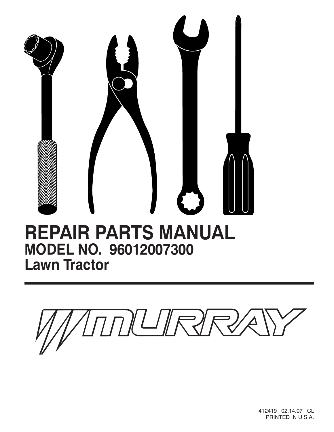

# **REPAIR PARTS MANUAL MODEL NO. 96012007300 Lawn Tractor**



412419 02.14.07 CL PRINTED IN U.S.A.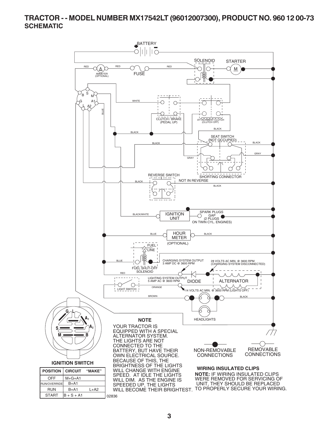#### **TRACTOR - - MODEL NUMBER MX17542LT (96012007300), PRODUCT NO. 960 12 00-73 SCHEMATIC**

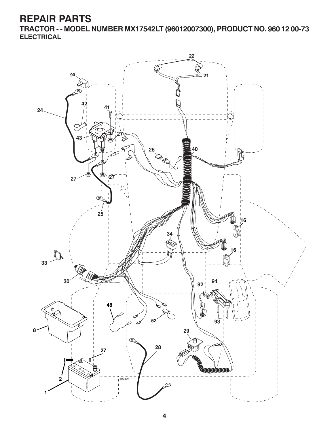**TRACTOR - - MODEL NUMBER MX17542LT (96012007300), PRODUCT NO. 960 12 00-73 ELECTRICAL**

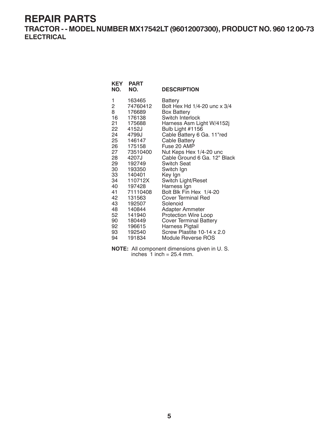**TRACTOR - - MODEL NUMBER MX17542LT (96012007300), PRODUCT NO. 960 12 00-73 ELECTRICAL**

| KEY<br>NO.     | <b>PART</b><br>NO. | <b>DESCRIPTION</b>            |
|----------------|--------------------|-------------------------------|
| 1              | 163465             | Battery                       |
| $\overline{2}$ | 74760412           | Bolt Hex Hd 1/4-20 unc x 3/4  |
| 8              | 176689             | <b>Box Battery</b>            |
| 16             | 176138             | Switch Interlock              |
| 21             | 175688             | Harness Asm Light W/4152j     |
| 22             | 4152J              | Bulb Light #1156              |
|                | 24 4799J           | Cable Battery 6 Ga. 11"red    |
|                | 25 146147          | <b>Cable Battery</b>          |
|                | 26 175158          | Fuse 20 AMP                   |
|                | 27 73510400        | Nut Keps Hex 1/4-20 unc       |
| 28             | 4207J              | Cable Ground 6 Ga. 12" Black  |
| 29             | 192749             | <b>Switch Seat</b>            |
|                | 30 193350          | Switch Ign                    |
| 33             | 140401             | Key Ign                       |
| 34             | 110712X            | Switch Light/Reset            |
|                | 40 197428          | Harness Ign                   |
| 41             | 71110408           | Bolt Blk Fin Hex 1/4-20       |
| 42             | 131563             | <b>Cover Terminal Red</b>     |
|                | 43 192507          | Solenoid                      |
| 48             | 140844             | Adapter Ammeter               |
|                | 52 141940          | <b>Protection Wire Loop</b>   |
|                | 90 180449          | <b>Cover Terminal Battery</b> |
| 92             | 196615             | Harness Pigtail               |
| 93             | 192540             | Screw Plastite 10-14 x 2.0    |
| 94             | 191834             | Module Reverse ROS            |

**NOTE:** All component dimensions given in U. S. inches  $1$  inch = 25.4 mm.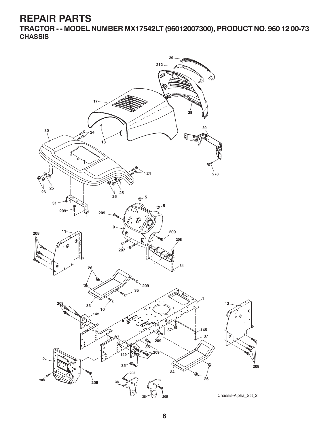**TRACTOR - - MODEL NUMBER MX17542LT (96012007300), PRODUCT NO. 960 12 00-73 CHASSIS**

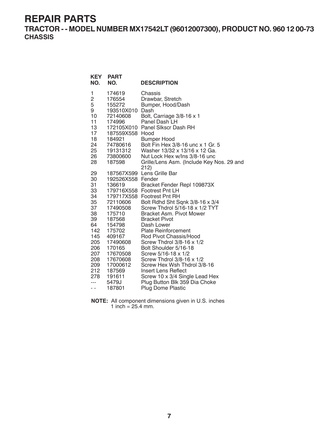**TRACTOR - - MODEL NUMBER MX17542LT (96012007300), PRODUCT NO. 960 12 00-73 CHASSIS**

| KEY<br>NO. | <b>PART</b><br>NO.          | <b>DESCRIPTION</b>                                       |
|------------|-----------------------------|----------------------------------------------------------|
| 1          | 174619                      | Chassis                                                  |
| 2          | 176554                      | Drawbar, Stretch                                         |
| 5          | 155272                      | Bumper, Hood/Dash                                        |
| 9          | 193510X010                  | Dash                                                     |
| 10<br>11   | 72140608<br>174996          | Bolt, Carriage 3/8-16 x 1<br>Panel Dash LH               |
| 13         |                             | 172105X010 Panel Slkscr Dash RH                          |
| 17         | 187559X558 Hood             |                                                          |
| 18         | 184921                      | <b>Bumper Hood</b>                                       |
| 24         | 74780616                    | Bolt Fin Hex 3/8-16 unc x 1 Gr. 5                        |
| 25         | 19131312                    | Washer 13/32 x 13/16 x 12 Ga.                            |
| 26         | 73800600                    | Nut Lock Hex w/Ins 3/8-16 unc                            |
| 28         | 187598                      | Grille/Lens Asm. (Include Key Nos. 29 and                |
|            |                             | 212)                                                     |
| 29         |                             | 187567X599 Lens Grille Bar                               |
| 30<br>31   | 192526X558 Fender<br>136619 | Bracket Fender Repl 109873X                              |
| 33         |                             | 179716X558 Footrest Pnt LH                               |
| 34         |                             | 179717X558 Footrest Pnt RH                               |
| 35         | 72110606                    | Bolt Rdhd Sht Sqnk 3/8-16 x 3/4                          |
| 37         | 17490508                    | Screw Thdrol 5/16-18 x 1/2 TYT                           |
| 38         | 175710                      | Bracket Asm. Pivot Mower                                 |
| 39         | 187568                      | <b>Bracket Pivot</b>                                     |
| 64         | 154798                      | Dash Lower                                               |
| 142        | 175702                      | <b>Plate Reinforcement</b>                               |
| 145        | 409167                      | Rod Pivot Chassis/Hood                                   |
| 205        | 17490608                    | Screw Thdrol $3/8-16 \times 1/2$                         |
| 206        | 170165                      | Bolt Shoulder 5/16-18                                    |
| 207        | 17670508                    | Screw 5/16-18 x 1/2                                      |
| 208<br>209 | 17670608<br>17000612        | Screw Thdrol 3/8-16 x 1/2<br>Screw Hex Wsh Thdrol 3/8-16 |
|            | 212 187569                  | Insert Lens Reflect                                      |
| 278        | 191611                      | Screw 10 x 3/4 Single Lead Hex                           |
| ---        | 5479J                       | Plug Button Blk 359 Dia Choke                            |
| - -        | 187801                      | <b>Plug Dome Plastic</b>                                 |

**NOTE:** All component dimensions given in U.S. inches 1 inch =  $25.4$  mm.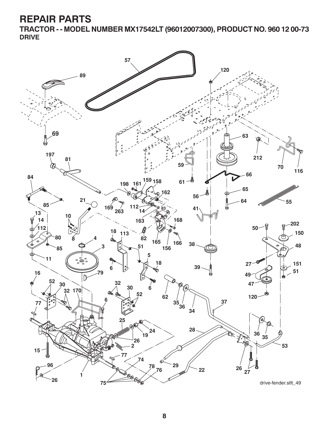**TRACTOR - - MODEL NUMBER MX17542LT (96012007300), PRODUCT NO. 960 12 00-73 DRIVE**

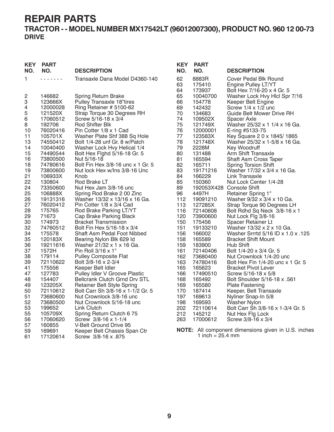#### **TRACTOR - - MODEL NUMBER MX17542LT (96012007300), PRODUCT NO. 960 12 00-73 DRIVE**

| <b>KEY</b><br>NO. | <b>PART</b><br>NO.   | <b>DESCRIPTION</b>                                | <b>KEY</b><br>NO. | <b>PART</b><br>NO.        | <b>DESCRIPTION</b>                                                         |
|-------------------|----------------------|---------------------------------------------------|-------------------|---------------------------|----------------------------------------------------------------------------|
| 1                 |                      | Transaxle Dana Model D4360-140                    | 62<br>63<br>64    | 8883R<br>175410<br>173937 | Cover Pedal Blk Round<br>Engine Pulley LT/YT<br>Bolt Hex 7/16-20 x 4 Gr. 5 |
| 2                 | 146682               | Spring Return Brake                               | 65                | 10040700                  | Washer Lock Hvy Hlcl Spr 7/16                                              |
| 3                 | 123666X              | <b>Pulley Transaxle 18"tires</b>                  | 66                | 154778                    | Keeper Belt Engine                                                         |
| 4                 | 12000028             | Ring Retainer # 5100-62                           | 69                | 142432                    | Screw $1/4 \times 1/2$ unc                                                 |
| 5                 | 121520X              | Strap Torque 30 Degrees RH                        | 70                | 134683                    | Guide Belt Mower Drive RH                                                  |
| 6                 | 17060512             | Screw 5/16-18 x 3/4                               | 74                | 109502X                   | Spacer Axle                                                                |
| 8                 | 192706               | Rod Shifter Blk                                   | 75                | 121749X                   | Washer 25/32 x 1 1/4 x 16 Ga.                                              |
| 10                | 76020416             | Pin Cotter 1/8 x 1 Cad                            | 76                | 12000001                  | E-ring #5133-75                                                            |
| 11                | 105701X              | Washer Plate Shf 388 Sq Hole                      | 77                | 123583X                   | Key Square 2 0 x 1845/1865                                                 |
| 13                | 74550412             | Bolt 1/4-28 unf Gr. 8 w/Patch                     | 78                | 121748X                   | Washer 25/32 x 1-5/8 x 16 Ga.                                              |
| 14                | 10040400             | Washer Lock Hvy Helical 1/4                       | 79                | 2228M                     | Key Woodruff                                                               |
| 15                | 74490544             | Bolt Hex Fighd 5/16-18 Gr. 5                      | 80                | 131488                    | Arm Shift Transaxle                                                        |
| 16                | 73800500             | Nut 5/16-18                                       | 81                | 165594                    | Shaft Asm Cross Taper                                                      |
| 18                | 74780616             | Bolt Fin Hex 3/8-16 unc x 1 Gr. 5                 | 82                | 165711                    | <b>Spring Torsion Shift</b>                                                |
| 19                | 73800600             | Nut lock Hex w/Ins 3/8-16 Unc                     | 83                | 19171216                  | Washer 17/32 x 3/4 x 16 Ga.                                                |
| 21                | 106933X              | Knob                                              | 84                | 166229                    | Link Transaxle                                                             |
| 22                | 130804               | Rod Brake LT                                      | 85                | 150360                    | Nut Lock Center 1/4-28                                                     |
| 24                | 73350600             | Nut Hex Jam 3/8-16 unc                            | 89                |                           | 192053X428 Console Shift                                                   |
| 25                | 106888X              | Spring Rod Brake 2 00 Zinc                        | 96                | 4497H                     | Retainer Spring 1"                                                         |
| 26                | 19131316             | Washer 13/32 x 13/16 x 16 Ga.                     | 112               | 19091210                  | Washer 9/32 x 3/4 x 10 Ga.                                                 |
| 27                | 76020412             | Pin Cotter 1/8 x 3/4 Cad                          | 113               | 127285X                   | Strap Torque 90 Degrees LH                                                 |
| 28                | 175765               | Rod Brake Parking LT/YT                           | 116               | 72140608                  | Bolt Rdhd Sq Neck 3/8-16 x 1                                               |
| 29                | 71673                | Cap Brake Parking Black                           | 120               | 73900600                  | Nut Lock Flg 3/8-16                                                        |
| 30                | 174973               | <b>Bracket Transmission</b>                       | 150               | 175456                    | Spacer Retainer Lt                                                         |
| 32                | 74760512             | Bolt Fin Hex 5/16-18 x 3/4                        | 151               | 19133210                  | Washer 13/32 x 2 x 10 Ga.                                                  |
| 34                | 175578               | Shaft Asm Pedal Foot Nibbed                       | 156               | 166002                    | Washer Srrrtd 5/16 ID x 1.0 x .125                                         |
| 35                | 120183X              | Bearing Nylon Blk 629 ld                          | 158               | 165589                    | <b>Bracket Shift Mount</b>                                                 |
| 36                | 19211616             | Washer 21/32 x 1 x 16 Ga.                         | 159               | 183900                    | Hub Shift                                                                  |
| 37                | 1572H                | Pin Roll 3/16 x 1"                                | 161               | 72140406                  | Bolt 1/4-20 x 3/4 Gr. 5                                                    |
| 38                | 179114               | <b>Pulley Composite Flat</b>                      | 162               | 73680400                  | Nut Crownlock 1/4-20 unc                                                   |
| 39                | 72110622             | Bolt 3/8-16 x 2-3/4                               | 163               | 74780416                  | Bolt Hex Fin 1/4-20 unc x 1 Gr. 5                                          |
| 41                | 175556               | Keeper Belt Idler                                 | 165               | 165623                    | <b>Bracket Pivot Lever</b>                                                 |
| 47                | 127783               | Pulley Idler V Groove Plastic                     | 166               | 17490510                  | Screw 5/16-18 x 5/8                                                        |
| 48                | 154407               | <b>Bellcrank Clutch Grnd Drv STL</b>              | 168               | 165492                    | Bolt Shoulder 5/16-18 x .561                                               |
| 49                | 123205X              | Retainer Belt Style Spring                        | 169               | 165580                    | <b>Plate Fastening</b>                                                     |
| 50                | 72110612             | Bolt Carr Sh 3/8-16 x 1-1/2 Gr. 5                 | 170               | 187414                    | Keeper, Belt Transaxle                                                     |
| 51<br>52          | 73680600<br>73680500 | Nut Crownlock 3/8-16 unc                          | 197<br>198        | 169613                    | Nyliner Snap-In 5/8                                                        |
|                   |                      | Nut Crownlock 5/16-18 unc                         | 202               | 169593                    | Washer Nylon<br>Bolt Carr Sh 3/8-16 x 1-3/4 Gr. 5                          |
| 53<br>55          | 199652               | Link Clutch                                       | 212               | 72110614<br>145212        | Nut Hex Flg Lock                                                           |
| 56                | 105709X<br>17060620  | Spring Return Clutch 6 75<br>Screw 3/8-16 x 1-1/4 | 263               | 17000612                  | Screw 3/8-16 x 3/4                                                         |
| 57                | 160855               | V-Belt Ground Drive 95                            |                   |                           |                                                                            |
| 59                | 169691               | Keeper Belt Chassis Span Ctr                      |                   |                           | <b>NOTE:</b> All component dimensions given in U.S. inches                 |
| 61                | 17120614             | Screw 3/8-16 x .875                               |                   | 1 inch = $25.4$ mm        |                                                                            |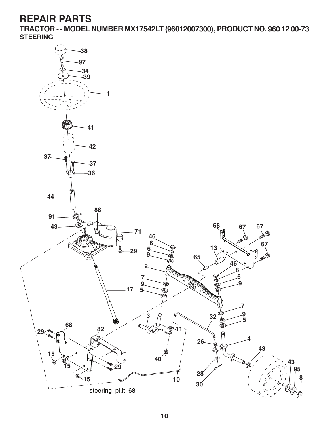**TRACTOR - - MODEL NUMBER MX17542LT (96012007300), PRODUCT NO. 960 12 00-73 STEERING**

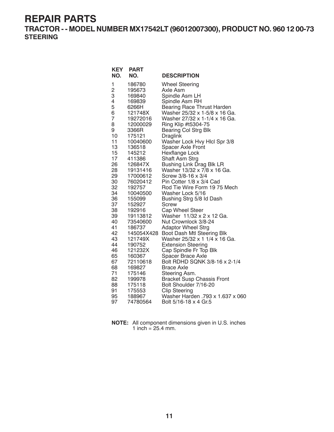**TRACTOR - - MODEL NUMBER MX17542LT (96012007300), PRODUCT NO. 960 12 00-73 STEERING**

| <b>KEY</b><br>NO. | <b>PART</b><br>NO.    | <b>DESCRIPTION</b>                                             |
|-------------------|-----------------------|----------------------------------------------------------------|
|                   |                       |                                                                |
| 1                 | 186780                | <b>Wheel Steering</b>                                          |
| $\overline{c}$    | 195673                | Axle Asm                                                       |
| 3                 | 169840                | Spindle Asm LH                                                 |
| 4                 | 169839                | Spindle Asm RH                                                 |
| 5                 | 6266H                 | <b>Bearing Race Thrust Harden</b>                              |
| 6<br>7            | 121748X<br>19272016   | Washer 25/32 x 1-5/8 x 16 Ga.<br>Washer 27/32 x 1-1/4 x 16 Ga. |
| 8                 | 12000029              | Ring Klip #t5304-75                                            |
| 9                 | 3366R                 | <b>Bearing Col Strg Blk</b>                                    |
| 10                | 175121                | <b>Draglink</b>                                                |
| 11                | 10040600              | Washer Lock Hvy Hlcl Spr 3/8                                   |
| 13                | 136518                | <b>Spacer Axle Front</b>                                       |
| 15                | 145212                | Hexflange Lock                                                 |
| 17                | 411386                | Shaft Asm Strg                                                 |
| 26                | 126847X               | <b>Bushing Link Drag Blk LR</b>                                |
| 28                | 19131416              | Washer 13/32 x 7/8 x 16 Ga.                                    |
| 29                | 17000612              | Screw 3/8-16 x 3/4                                             |
| 30                | 76020412              | Pin Cotter 1/8 x 3/4 Cad                                       |
| 32                | 192757                | Rod Tie Wire Form 19 75 Mech                                   |
| 34                | 10040500              | Washer Lock 5/16                                               |
| 36                | 155099                | Bushing Strg 5/8 ld Dash                                       |
| 37                | 152927                | Screw                                                          |
| 38                | 192916                | Cap Wheel Steer                                                |
| 39                | 19113812              | Washer 11/32 x 2 x 12 Ga.                                      |
| 40                | 73540600              | Nut Crownlock 3/8-24                                           |
| 41                | 186737                | <b>Adaptor Wheel Strg</b>                                      |
| 42<br>43          | 145054X428<br>121749X | Boot Dash Mtl Steering Blk<br>Washer 25/32 x 1 1/4 x 16 Ga.    |
| 44                | 190752                | <b>Extension Steering</b>                                      |
| 46                | 121232X               | Cap Spindle Fr Top Blk                                         |
| 65                | 160367                | Spacer Brace Axle                                              |
| 67                | 72110618              | Bolt RDHD SQNK 3/8-16 x 2-1/4                                  |
| 68                | 169827                | <b>Brace Axle</b>                                              |
| 71                | 175146                | Steering Asm.                                                  |
| 82                | 199978                | <b>Bracket Susp Chassis Front</b>                              |
| 88                | 175118                | Bolt Shoulder 7/16-20                                          |
| 91                | 175553                | <b>Clip Steering</b>                                           |
| 95                | 188967                | Washer Harden .793 x 1.637 x 060                               |
| 97                | 74780564              | Bolt 5/16-18 x 4 Gr.5                                          |

**NOTE:** All component dimensions given in U.S. inches 1 inch =  $25.4$  mm.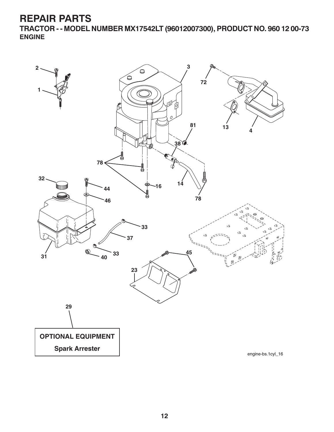**TRACTOR - - MODEL NUMBER MX17542LT (96012007300), PRODUCT NO. 960 12 00-73 ENGINE**

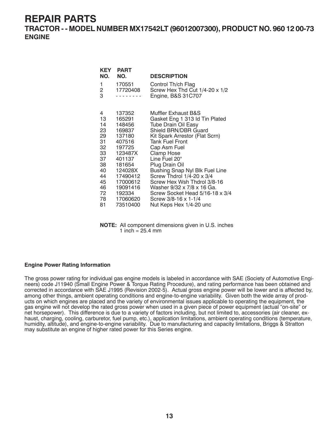**TRACTOR - - MODEL NUMBER MX17542LT (96012007300), PRODUCT NO. 960 12 00-73 ENGINE**

**KEY PART** 

| <b>KEY</b><br>NO. | PAR I<br>NO.         | <b>DESCRIPTION</b>                                                         |
|-------------------|----------------------|----------------------------------------------------------------------------|
| 1<br>2<br>3       | 170551<br>17720408   | Control Th/ch Flag<br>Screw Hex Thd Cut 1/4-20 x 1/2<br>Engine, B&S 31C707 |
|                   |                      |                                                                            |
| 4                 | 137352               | Muffler Exhaust B&S                                                        |
| 13                | 165291               | Gasket Eng 1 313 ld Tin Plated                                             |
| 14<br>23          | 148456<br>169837     | Tube Drain Oil Easy<br>Shield BRN/DBR Guard                                |
| 29.               | 137180               | Kit Spark Arrestor (Flat Scrn)                                             |
| 31                | 407516               | <b>Tank Fuel Front</b>                                                     |
| 32                | 197725               | Cap Asm Fuel                                                               |
| 33                | 123487X              | <b>Clamp Hose</b>                                                          |
| 37                | 401137               | Line Fuel 20"                                                              |
| 38                | 181654               | Plug Drain Oil                                                             |
| 40                | 124028X              | Bushing Snap Nyl Blk Fuel Line                                             |
| 44                | 17490412             | Screw Thdrol 1/4-20 x 3/4                                                  |
| 45                | 17000612             | Screw Hex Wsh Thdrol 3/8-16                                                |
| 46                | 19091416             | Washer 9/32 x 7/8 x 16 Ga.                                                 |
| 72                | 192334               | Screw Socket Head 5/16-18 x 3/4                                            |
| 78<br>81          | 17060620<br>73510400 | Screw 3/8-16 x 1-1/4<br>Nut Keps Hex 1/4-20 unc                            |
|                   |                      |                                                                            |

**NOTE:** All component dimensions given in U.S. inches 1 inch =  $25.4 \, \text{mm}$ 

#### **Engine Power Rating Information**

The gross power rating for individual gas engine models is labeled in accordance with SAE (Society of Automotive Engineers) code J11940 (Small Engine Power & Torque Rating Procedure), and rating performance has been obtained and corrected in accordance with SAE J1995 (Revision 2002-5). Actual gross engine power will be lower and is affected by, among other things, ambient operating conditions and engine-to-engine variability. Given both the wide array of products on which engines are placed and the variety of environmental issues applicable to operating the equipment, the gas engine will not develop the rated gross power when used in a given piece of power equipment (actual "on-site" or net horsepower). This difference is due to a variety of factors including, but not limited to, accessories (air cleaner, exhaust, charging, cooling, carburetor, fuel pump, etc.), application limitations, ambient operating conditions (temperature, humidity, altitude), and engine-to-engine variability. Due to manufacturing and capacity limitations, Briggs & Stratton may substitute an engine of higher rated power for this Series engine.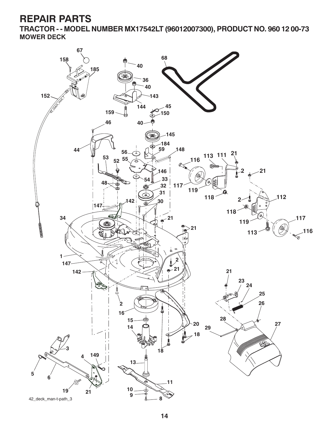**TRACTOR - - MODEL NUMBER MX17542LT (96012007300), PRODUCT NO. 960 12 00-73 MOWER DECK**

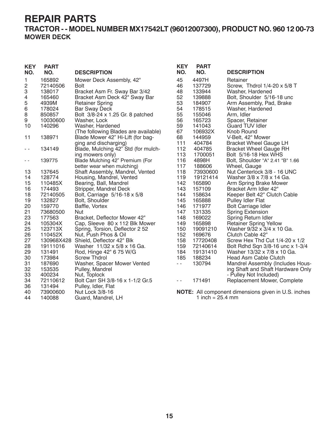#### **TRACTOR - - MODEL NUMBER MX17542LT (96012007300), PRODUCT NO. 960 12 00-73 MOWER DECK**

| <b>KEY</b><br>NO. | <b>PART</b><br>NO. | <b>DESCRIPTION</b>                   | <b>KEY</b><br>NO. | <b>PART</b><br>NO.   | <b>DESCRIPTION</b>                                    |
|-------------------|--------------------|--------------------------------------|-------------------|----------------------|-------------------------------------------------------|
| 1                 | 165892             | Mower Deck Assembly, 42"             | 45                | 4497H                | Retainer                                              |
| 2                 | 72140506           | <b>Bolt</b>                          | 46                | 137729               | Screw, Thdrol 1/4-20 x 5/8 T                          |
| 3                 | 138017             | Bracket Asm Fr. Sway Bar 3/42        | 48                | 133944               | Washer, Hardened                                      |
| 4                 | 165460             | Bracket Asm Deck 42" Sway Bar        | 52                | 139888               | Bolt, Shoulder 5/16-18 unc                            |
| 5                 | 4939M              | <b>Retainer Spring</b>               | 53                | 184907               | Arm Assembly, Pad, Brake                              |
| 6                 | 178024             | <b>Bar Sway Deck</b>                 | 54                | 178515               | Washer, Hardened                                      |
| 8                 | 850857             | Bolt 3/8-24 x 1.25 Gr. 8 patched     | 55                | 155046               | Arm, Idler                                            |
| 9                 | 10030600           | Washer, Lock                         | 56                | 165723               | Spacer, Retainer                                      |
| 10                | 140296             | Washer, Hardened                     | 59                | 141043               | <b>Guard TUV Idler</b>                                |
|                   |                    |                                      | 67                | 106932X              | Knob Round                                            |
|                   | 138971             | (The following Blades are available) | 68                |                      |                                                       |
| 11                |                    | Blade Mower 42" Hi-Lift (for bag-    | 111               | 144959<br>404784     | V-Belt, 42" Mower<br><b>Bracket Wheel Gauge LH</b>    |
|                   |                    | ging and discharging)                | 112               | 404785               |                                                       |
| - -               | 134149             | Blade, Mulching 42" Std (for mulch-  | 113               | 1700051              | <b>Bracket Wheel Gauge RH</b><br>Bolt 5/16-18 Hex WHS |
|                   |                    | ing mowers only)                     |                   |                      |                                                       |
| - -               | 139775             | Blade Mulching 42" Premium (For      | 116<br>117        | 4898H<br>188606      | Bolt, Shoulder "A" 2.41 "B" 1.66                      |
|                   | 137645             | better wear when mulching)           |                   |                      | Wheel, Gauge<br>Nut Centerlock 3/8 - 16 UNC           |
| 13                | 128774             | Shaft Assembly, Mandrel, Vented      | 118<br>119        | 73930600<br>19121414 | Washer 3/8 x 7/8 x 14 Ga.                             |
| 14                |                    | Housing, Mandrel, Vented             | 142               |                      |                                                       |
| 15<br>16          | 110485X            | Bearing, Ball, Mandrel               | 143               | 165890<br>157109     | Arm Spring Brake Mower<br>Bracket Arm Idler 42"       |
|                   | 174493<br>72140505 | Stripper, Mandrel Deck               |                   | 158634               |                                                       |
| 18                |                    | Bolt, Carriage 5/16-18 x 5/8         | 144               |                      | Keeper Belt 42" Clutch Cable                          |
| 19                | 132827             | Bolt, Shoulder                       | 145               | 165888               | Pulley Idler Flat                                     |
| 20                | 159770             | Baffle, Vortex                       | 146               | 171977               | <b>Bolt Carriage Idler</b>                            |
| 21                | 73680500           | <b>Nut</b>                           | 147               | 131335               | <b>Spring Extension</b>                               |
| 23                | 177563             | Bracket, Deflector Mower 42"         | 148               | 169022               | Spring Return Idler                                   |
| 24                | 105304X            | Cap, Sleeve 80 x 112 Blk Mower       | 149               | 165898               | <b>Retainer Spring Yellow</b>                         |
| 25                | 123713X            | Spring, Torsion, Deflector 2 52      | 150               | 19091210             | Washer 9/32 x 3/4 x 10 Ga.                            |
| 26                | 110452X            | Nut, Push Phos & Oil                 | 152               | 169676               | Clutch Cable 42"                                      |
| 27                |                    | 130968X428 Shield, Deflector 42" Blk | 158               | 17720408             | Screw Hex Thd Cut 1/4-20 x 1/2                        |
| 28                | 19111016           | Washer 11/32 x 5/8 x 16 Ga.          | 159               | 72140614             | Bolt Rdhd Sqn 3/8-16 unc x 1-3/4                      |
| 29                | 131491             | Rod, Hinge 42" 6 75 W/G              | 184               | 19131410             | Washer 13/32 x 7/8 x 10 Ga.                           |
| 30                | 173984             | <b>Screw Thdrol</b>                  | 185               | 188234               | <b>Head Asm Cable Clutch</b>                          |
| 31                | 187690             | Washer, Spacer Mower Vented          | $ -$              | 130794               | Mandrel Assembly (Includes Hous-                      |
| 32                | 153535             | Pulley, Mandrel                      |                   |                      | ing Shaft and Shaft Hardware Only                     |
| 33                | 400234             | Nut, Toplock                         |                   |                      | - Pulley Not Included)                                |
| 34                | 72110612           | Bolt Carr SH 3/8-16 x 1-1/2 Gr.5     | $\sim$ $\sim$     | 171491               | Replacement Mower, Complete                           |
| 36                | 131494             | Pulley, Idler, Flat                  |                   |                      |                                                       |
| 40                | 73900600           | Nut Lock 3/8-16                      |                   |                      | NOTE: All component dimensions given in U.S. inches   |
| 44                | 140088             | Guard, Mandrel, LH                   |                   | 1 inch = $25.4$ mm   |                                                       |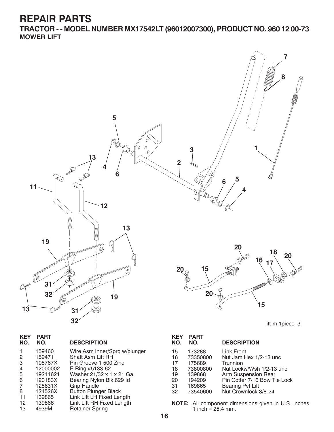**TRACTOR - - MODEL NUMBER MX17542LT (96012007300), PRODUCT NO. 960 12 00-73 MOWER LIFT**



| <b>KEY</b><br>NO. | <b>PART</b><br>NO. | <b>DESCRIPTION</b>            |
|-------------------|--------------------|-------------------------------|
| 1                 | 159460             | Wire Asm Inner/Sprg w/plunger |
| 2                 | 159471             | Shaft Asm Lift RH             |
| 3                 | 105767X            | Pin Groove 1 500 Zinc         |
| 4                 | 12000002           | E Ring #5133-62               |
| 5                 | 19211621           | Washer 21/32 x 1 x 21 Ga.     |
| 6                 | 120183X            | Bearing Nylon Blk 629 Id      |
| 7                 | 125631X            | <b>Grip Handle</b>            |
| 8                 | 124526X            | <b>Button Plunger Black</b>   |
| 11                | 139865             | Link Lift LH Fixed Length     |
| 12                | 139866             | Link Lift RH Fixed Length     |
| 13                | 4939M              | Retainer Spring               |

| <b>KEY</b><br>NO. | <b>PART</b><br>NO. | <b>DESCRIPTION</b>           |
|-------------------|--------------------|------------------------------|
|                   |                    |                              |
| 15                | 173288             | Link Front                   |
| 16                | 73350800           | Nut Jam Hex 1/2-13 unc       |
| 17                | 175689             | Trunnion                     |
| 18                | 73800800           | Nut Lockw/Wsh 1/2-13 unc     |
| 19                | 139868             | Arm Suspension Rear          |
| 20                | 194209             | Pin Cotter 7/16 Bow Tie Lock |
| 31                | 169865             | Bearing Pvt Lift             |
| 32                | 73540600           | Nut Crownlock 3/8-24         |

**NOTE:** All component dimensions given in U.S. inches 1 inch =  $25.4$  mm.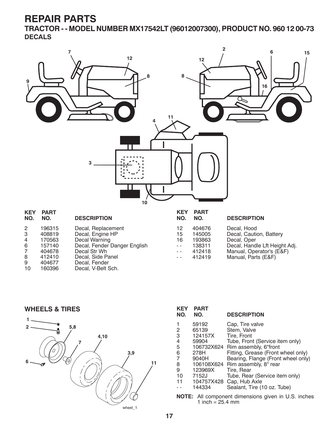**TRACTOR - - MODEL NUMBER MX17542LT (96012007300), PRODUCT NO. 960 12 00-73 DECALS**



| NO. NO. | <b>DESCRIPTION</b>           | NO.  | NO.    | <b>DESCRIPTION</b>            |
|---------|------------------------------|------|--------|-------------------------------|
| 196315  | Decal, Replacement           | 12   | 404676 | Decal, Hood                   |
| 408819  | Decal, Engine HP             | 15   | 145005 | Decal, Caution, Battery       |
| 170563  | Decal Warning                | 16   | 193863 | Decal, Oper                   |
| 157140  | Decal, Fender Danger English | $ -$ | 138311 | Decal, Handle Lft Height Adj. |
| 404678  | Decal Str Wh                 | $ -$ | 412418 | Manual, Operator's (E&F)      |
| 412410  | Decal. Side Panel            | $ -$ | 412419 | Manual, Parts (E&F)           |
| 404677  | Decal, Fender                |      |        |                               |
| 160396  | Decal, V-Belt Sch.           |      |        |                               |
|         |                              |      |        |                               |

**WHEELS & TIRES**



| <b>KEY</b><br>NO. | <b>PART</b><br>NO. | <b>DESCRIPTION</b>                                         |
|-------------------|--------------------|------------------------------------------------------------|
| 1                 | 59192              | Cap, Tire valve                                            |
| 2                 | 65139              | Stem, Valve                                                |
| 3                 | 124157X            | Tire, Front                                                |
| 4                 | 59904              | Tube, Front (Service item only)                            |
| 5                 |                    | 106732X624 Rim assembly, 6"front                           |
| 6                 | 278H               | Fitting, Grease (Front wheel only)                         |
| 7                 | 9040H              | Bearing, Flange (Front wheel only)                         |
| 8                 |                    | 106108X624 Rim assembly, 8" rear                           |
| 9                 | 123969X            | Tire, Rear                                                 |
| 10                | 7152J              | Tube, Rear (Service item only)                             |
| 11                | 104757X428         | Cap, Hub Axle                                              |
|                   | 144334             | Sealant, Tire (10 oz. Tube)                                |
|                   |                    | <b>NOTE:</b> All component dimensions given in U.S. inches |

1  $inch = 25.4$  mm